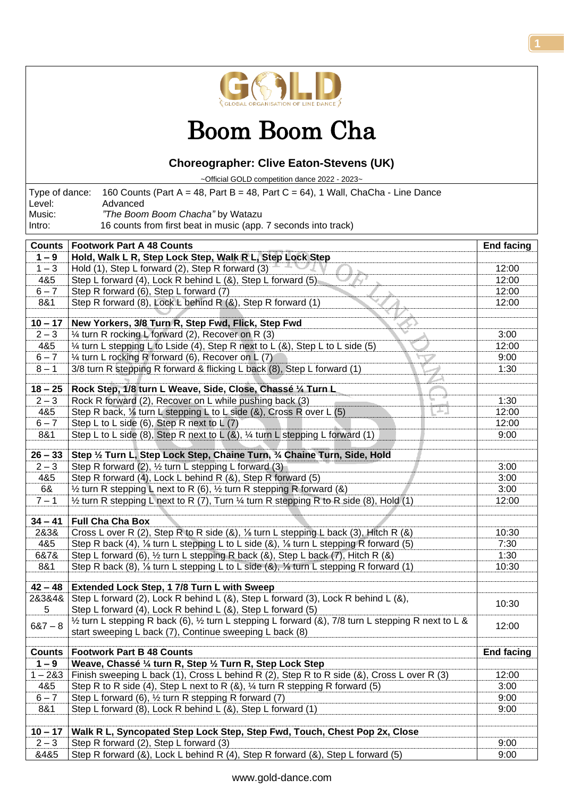

## Boom Boom Cha

## **Choreographer: Clive Eaton-Stevens (UK)**

~Official GOLD competition dance 2022 - 2023~

| 16 counts from first beat in music (app. 7 seconds into track)<br>Intro:<br><b>Footwork Part A 48 Counts</b><br><b>Counts</b><br><b>End facing</b><br>Hold, Walk L R, Step Lock Step, Walk R L, Step Lock Step<br>$1 - 9$<br>$1 - 3$<br>Hold (1), Step L forward (2), Step R forward (3)<br>12:00<br>4&5<br>Step L forward (4), Lock R behind L (&), Step L forward (5)<br>12:00<br>Step R forward (6), Step L forward (7)<br>$6 - 7$<br>12:00<br>8&1<br>Step R forward (8), Lock L behind R (&), Step R forward (1)<br>12:00<br>New Yorkers, 3/8 Turn R, Step Fwd, Flick, Step Fwd<br>$10 - 17$<br>$2 - 3$<br>1/4 turn R rocking L forward (2), Recover on R (3)<br>3:00<br>4&5<br>1⁄4 turn L stepping L to Lside (4), Step R next to L (&), Step L to L side (5)<br>12:00<br>$6 - 7$<br>1/4 turn L rocking R forward (6), Recover on L (7)<br>9:00<br>3/8 turn R stepping R forward & flicking L back (8), Step L forward (1)<br>$8 - 1$<br>1:30<br>Rock Step, 1/8 turn L Weave, Side, Close, Chassé 1/4 Turn L<br>$18 - 25$<br>$2 - 3$<br>Rock R forward (2), Recover on L while pushing back (3)<br>1:30<br>IJ<br>4&5<br>Step R back, $\frac{1}{2}$ turn L stepping L to L side (&), Cross R over L (5)<br>12:00<br>$6 - 7$<br>Step L to L side (6), Step R next to L (7)<br>12:00<br>Step L to L side (8), Step R next to L (&), 1/4 turn L stepping L forward (1)<br>8&1<br>9:00<br>Step 1/2 Turn L, Step Lock Step, Chaine Turn, 3/4 Chaine Turn, Side, Hold<br>$26 - 33$<br>3:00<br>$2 - 3$<br>Step R forward (2), $\frac{1}{2}$ turn L stepping L forward (3)<br>4&5<br>Step R forward (4), Lock L behind R (&), Step R forward (5)<br>3:00<br>6&<br>1/2 turn R stepping L next to R (6), 1/2 turn R stepping R forward (&)<br>3:00<br>$7 - 1$<br>$\frac{1}{2}$ turn R stepping L next to R (7), Turn $\frac{1}{2}$ turn R stepping R to R side (8), Hold (1)<br>12:00<br><b>Full Cha Cha Box</b><br>$34 - 41$<br>2&3&<br>Cross L over R (2), Step R to R side (&), 1/8 turn L stepping L back (3), Hitch R (&)<br>10:30<br>4&5<br>Step R back (4), 1/ <sub>8</sub> turn L stepping L to L side (&), 1/ <sub>8</sub> turn L stepping R forward (5)<br>7:30<br>Step L forward (6), 1/2 turn L stepping R back (&), Step L back (7), Hitch R (&)<br>6&7&<br>1:30<br>8&1<br>Step R back (8), 1/ <sub>8</sub> turn L stepping L to L side (&), 1/ <sub>8</sub> turn L stepping R forward (1)<br>10:30<br>$42 - 48$<br>Extended Lock Step, 1 7/8 Turn L with Sweep<br>Step L forward (2), Lock R behind L (&), Step L forward (3), Lock R behind L (&),<br>2&3&4&<br>10:30<br>Step L forward (4), Lock R behind L (&), Step L forward (5)<br>5<br>$\frac{1}{2}$ turn L stepping R back (6), $\frac{1}{2}$ turn L stepping L forward (&), 7/8 turn L stepping R next to L &<br>$687 - 8$<br>12:00<br>start sweeping L back (7), Continue sweeping L back (8)<br><b>Footwork Part B 48 Counts</b><br><b>End facing</b><br><b>Counts</b><br>$1 - 9$<br>Weave, Chassé 1/4 turn R, Step 1/2 Turn R, Step Lock Step<br>Finish sweeping L back (1), Cross L behind R (2), Step R to R side (&), Cross L over R (3)<br>$1 - 283$<br>12:00<br>4&5<br>Step R to R side (4), Step L next to R $(8)$ , $\frac{1}{4}$ turn R stepping R forward (5)<br>3:00<br>Step L forward (6), 1/2 turn R stepping R forward (7)<br>$6 - 7$<br>9:00<br>8&1<br>Step L forward (8), Lock R behind L (&), Step L forward (1)<br>9:00<br>$10 - 17$<br>Walk R L, Syncopated Step Lock Step, Step Fwd, Touch, Chest Pop 2x, Close<br>$2 - 3$<br>Step R forward (2), Step L forward (3)<br>9:00<br>Step R forward (&), Lock L behind R (4), Step R forward (&), Step L forward (5)<br>8485<br>9:00 | Type of dance:<br>160 Counts (Part A = 48, Part B = 48, Part C = 64), 1 Wall, ChaCha - Line Dance<br>Level:<br>Advanced |                                  |  |  |
|------------------------------------------------------------------------------------------------------------------------------------------------------------------------------------------------------------------------------------------------------------------------------------------------------------------------------------------------------------------------------------------------------------------------------------------------------------------------------------------------------------------------------------------------------------------------------------------------------------------------------------------------------------------------------------------------------------------------------------------------------------------------------------------------------------------------------------------------------------------------------------------------------------------------------------------------------------------------------------------------------------------------------------------------------------------------------------------------------------------------------------------------------------------------------------------------------------------------------------------------------------------------------------------------------------------------------------------------------------------------------------------------------------------------------------------------------------------------------------------------------------------------------------------------------------------------------------------------------------------------------------------------------------------------------------------------------------------------------------------------------------------------------------------------------------------------------------------------------------------------------------------------------------------------------------------------------------------------------------------------------------------------------------------------------------------------------------------------------------------------------------------------------------------------------------------------------------------------------------------------------------------------------------------------------------------------------------------------------------------------------------------------------------------------------------------------------------------------------------------------------------------------------------------------------------------------------------------------------------------------------------------------------------------------------------------------------------------------------------------------------------------------------------------------------------------------------------------------------------------------------------------------------------------------------------------------------------------------------------------------------------------------------------------------------------------------------------------------------------------------------------------------------------------------------------------------------------------------------------------------------------------------------------------------------------------------------------------------------------------------------------------------------------------------------------------------------------------------------------------------------------------------------------------------------------------------------------------------------------------------------------------------------------------------|-------------------------------------------------------------------------------------------------------------------------|----------------------------------|--|--|
|                                                                                                                                                                                                                                                                                                                                                                                                                                                                                                                                                                                                                                                                                                                                                                                                                                                                                                                                                                                                                                                                                                                                                                                                                                                                                                                                                                                                                                                                                                                                                                                                                                                                                                                                                                                                                                                                                                                                                                                                                                                                                                                                                                                                                                                                                                                                                                                                                                                                                                                                                                                                                                                                                                                                                                                                                                                                                                                                                                                                                                                                                                                                                                                                                                                                                                                                                                                                                                                                                                                                                                                                                                                                        | Music:                                                                                                                  | "The Boom Boom Chacha" by Watazu |  |  |
|                                                                                                                                                                                                                                                                                                                                                                                                                                                                                                                                                                                                                                                                                                                                                                                                                                                                                                                                                                                                                                                                                                                                                                                                                                                                                                                                                                                                                                                                                                                                                                                                                                                                                                                                                                                                                                                                                                                                                                                                                                                                                                                                                                                                                                                                                                                                                                                                                                                                                                                                                                                                                                                                                                                                                                                                                                                                                                                                                                                                                                                                                                                                                                                                                                                                                                                                                                                                                                                                                                                                                                                                                                                                        |                                                                                                                         |                                  |  |  |
|                                                                                                                                                                                                                                                                                                                                                                                                                                                                                                                                                                                                                                                                                                                                                                                                                                                                                                                                                                                                                                                                                                                                                                                                                                                                                                                                                                                                                                                                                                                                                                                                                                                                                                                                                                                                                                                                                                                                                                                                                                                                                                                                                                                                                                                                                                                                                                                                                                                                                                                                                                                                                                                                                                                                                                                                                                                                                                                                                                                                                                                                                                                                                                                                                                                                                                                                                                                                                                                                                                                                                                                                                                                                        |                                                                                                                         |                                  |  |  |
|                                                                                                                                                                                                                                                                                                                                                                                                                                                                                                                                                                                                                                                                                                                                                                                                                                                                                                                                                                                                                                                                                                                                                                                                                                                                                                                                                                                                                                                                                                                                                                                                                                                                                                                                                                                                                                                                                                                                                                                                                                                                                                                                                                                                                                                                                                                                                                                                                                                                                                                                                                                                                                                                                                                                                                                                                                                                                                                                                                                                                                                                                                                                                                                                                                                                                                                                                                                                                                                                                                                                                                                                                                                                        |                                                                                                                         |                                  |  |  |
|                                                                                                                                                                                                                                                                                                                                                                                                                                                                                                                                                                                                                                                                                                                                                                                                                                                                                                                                                                                                                                                                                                                                                                                                                                                                                                                                                                                                                                                                                                                                                                                                                                                                                                                                                                                                                                                                                                                                                                                                                                                                                                                                                                                                                                                                                                                                                                                                                                                                                                                                                                                                                                                                                                                                                                                                                                                                                                                                                                                                                                                                                                                                                                                                                                                                                                                                                                                                                                                                                                                                                                                                                                                                        |                                                                                                                         |                                  |  |  |
|                                                                                                                                                                                                                                                                                                                                                                                                                                                                                                                                                                                                                                                                                                                                                                                                                                                                                                                                                                                                                                                                                                                                                                                                                                                                                                                                                                                                                                                                                                                                                                                                                                                                                                                                                                                                                                                                                                                                                                                                                                                                                                                                                                                                                                                                                                                                                                                                                                                                                                                                                                                                                                                                                                                                                                                                                                                                                                                                                                                                                                                                                                                                                                                                                                                                                                                                                                                                                                                                                                                                                                                                                                                                        |                                                                                                                         |                                  |  |  |
|                                                                                                                                                                                                                                                                                                                                                                                                                                                                                                                                                                                                                                                                                                                                                                                                                                                                                                                                                                                                                                                                                                                                                                                                                                                                                                                                                                                                                                                                                                                                                                                                                                                                                                                                                                                                                                                                                                                                                                                                                                                                                                                                                                                                                                                                                                                                                                                                                                                                                                                                                                                                                                                                                                                                                                                                                                                                                                                                                                                                                                                                                                                                                                                                                                                                                                                                                                                                                                                                                                                                                                                                                                                                        |                                                                                                                         |                                  |  |  |
|                                                                                                                                                                                                                                                                                                                                                                                                                                                                                                                                                                                                                                                                                                                                                                                                                                                                                                                                                                                                                                                                                                                                                                                                                                                                                                                                                                                                                                                                                                                                                                                                                                                                                                                                                                                                                                                                                                                                                                                                                                                                                                                                                                                                                                                                                                                                                                                                                                                                                                                                                                                                                                                                                                                                                                                                                                                                                                                                                                                                                                                                                                                                                                                                                                                                                                                                                                                                                                                                                                                                                                                                                                                                        |                                                                                                                         |                                  |  |  |
|                                                                                                                                                                                                                                                                                                                                                                                                                                                                                                                                                                                                                                                                                                                                                                                                                                                                                                                                                                                                                                                                                                                                                                                                                                                                                                                                                                                                                                                                                                                                                                                                                                                                                                                                                                                                                                                                                                                                                                                                                                                                                                                                                                                                                                                                                                                                                                                                                                                                                                                                                                                                                                                                                                                                                                                                                                                                                                                                                                                                                                                                                                                                                                                                                                                                                                                                                                                                                                                                                                                                                                                                                                                                        |                                                                                                                         |                                  |  |  |
|                                                                                                                                                                                                                                                                                                                                                                                                                                                                                                                                                                                                                                                                                                                                                                                                                                                                                                                                                                                                                                                                                                                                                                                                                                                                                                                                                                                                                                                                                                                                                                                                                                                                                                                                                                                                                                                                                                                                                                                                                                                                                                                                                                                                                                                                                                                                                                                                                                                                                                                                                                                                                                                                                                                                                                                                                                                                                                                                                                                                                                                                                                                                                                                                                                                                                                                                                                                                                                                                                                                                                                                                                                                                        |                                                                                                                         |                                  |  |  |
|                                                                                                                                                                                                                                                                                                                                                                                                                                                                                                                                                                                                                                                                                                                                                                                                                                                                                                                                                                                                                                                                                                                                                                                                                                                                                                                                                                                                                                                                                                                                                                                                                                                                                                                                                                                                                                                                                                                                                                                                                                                                                                                                                                                                                                                                                                                                                                                                                                                                                                                                                                                                                                                                                                                                                                                                                                                                                                                                                                                                                                                                                                                                                                                                                                                                                                                                                                                                                                                                                                                                                                                                                                                                        |                                                                                                                         |                                  |  |  |
|                                                                                                                                                                                                                                                                                                                                                                                                                                                                                                                                                                                                                                                                                                                                                                                                                                                                                                                                                                                                                                                                                                                                                                                                                                                                                                                                                                                                                                                                                                                                                                                                                                                                                                                                                                                                                                                                                                                                                                                                                                                                                                                                                                                                                                                                                                                                                                                                                                                                                                                                                                                                                                                                                                                                                                                                                                                                                                                                                                                                                                                                                                                                                                                                                                                                                                                                                                                                                                                                                                                                                                                                                                                                        |                                                                                                                         |                                  |  |  |
|                                                                                                                                                                                                                                                                                                                                                                                                                                                                                                                                                                                                                                                                                                                                                                                                                                                                                                                                                                                                                                                                                                                                                                                                                                                                                                                                                                                                                                                                                                                                                                                                                                                                                                                                                                                                                                                                                                                                                                                                                                                                                                                                                                                                                                                                                                                                                                                                                                                                                                                                                                                                                                                                                                                                                                                                                                                                                                                                                                                                                                                                                                                                                                                                                                                                                                                                                                                                                                                                                                                                                                                                                                                                        |                                                                                                                         |                                  |  |  |
|                                                                                                                                                                                                                                                                                                                                                                                                                                                                                                                                                                                                                                                                                                                                                                                                                                                                                                                                                                                                                                                                                                                                                                                                                                                                                                                                                                                                                                                                                                                                                                                                                                                                                                                                                                                                                                                                                                                                                                                                                                                                                                                                                                                                                                                                                                                                                                                                                                                                                                                                                                                                                                                                                                                                                                                                                                                                                                                                                                                                                                                                                                                                                                                                                                                                                                                                                                                                                                                                                                                                                                                                                                                                        |                                                                                                                         |                                  |  |  |
|                                                                                                                                                                                                                                                                                                                                                                                                                                                                                                                                                                                                                                                                                                                                                                                                                                                                                                                                                                                                                                                                                                                                                                                                                                                                                                                                                                                                                                                                                                                                                                                                                                                                                                                                                                                                                                                                                                                                                                                                                                                                                                                                                                                                                                                                                                                                                                                                                                                                                                                                                                                                                                                                                                                                                                                                                                                                                                                                                                                                                                                                                                                                                                                                                                                                                                                                                                                                                                                                                                                                                                                                                                                                        |                                                                                                                         |                                  |  |  |
|                                                                                                                                                                                                                                                                                                                                                                                                                                                                                                                                                                                                                                                                                                                                                                                                                                                                                                                                                                                                                                                                                                                                                                                                                                                                                                                                                                                                                                                                                                                                                                                                                                                                                                                                                                                                                                                                                                                                                                                                                                                                                                                                                                                                                                                                                                                                                                                                                                                                                                                                                                                                                                                                                                                                                                                                                                                                                                                                                                                                                                                                                                                                                                                                                                                                                                                                                                                                                                                                                                                                                                                                                                                                        |                                                                                                                         |                                  |  |  |
|                                                                                                                                                                                                                                                                                                                                                                                                                                                                                                                                                                                                                                                                                                                                                                                                                                                                                                                                                                                                                                                                                                                                                                                                                                                                                                                                                                                                                                                                                                                                                                                                                                                                                                                                                                                                                                                                                                                                                                                                                                                                                                                                                                                                                                                                                                                                                                                                                                                                                                                                                                                                                                                                                                                                                                                                                                                                                                                                                                                                                                                                                                                                                                                                                                                                                                                                                                                                                                                                                                                                                                                                                                                                        |                                                                                                                         |                                  |  |  |
|                                                                                                                                                                                                                                                                                                                                                                                                                                                                                                                                                                                                                                                                                                                                                                                                                                                                                                                                                                                                                                                                                                                                                                                                                                                                                                                                                                                                                                                                                                                                                                                                                                                                                                                                                                                                                                                                                                                                                                                                                                                                                                                                                                                                                                                                                                                                                                                                                                                                                                                                                                                                                                                                                                                                                                                                                                                                                                                                                                                                                                                                                                                                                                                                                                                                                                                                                                                                                                                                                                                                                                                                                                                                        |                                                                                                                         |                                  |  |  |
|                                                                                                                                                                                                                                                                                                                                                                                                                                                                                                                                                                                                                                                                                                                                                                                                                                                                                                                                                                                                                                                                                                                                                                                                                                                                                                                                                                                                                                                                                                                                                                                                                                                                                                                                                                                                                                                                                                                                                                                                                                                                                                                                                                                                                                                                                                                                                                                                                                                                                                                                                                                                                                                                                                                                                                                                                                                                                                                                                                                                                                                                                                                                                                                                                                                                                                                                                                                                                                                                                                                                                                                                                                                                        |                                                                                                                         |                                  |  |  |
|                                                                                                                                                                                                                                                                                                                                                                                                                                                                                                                                                                                                                                                                                                                                                                                                                                                                                                                                                                                                                                                                                                                                                                                                                                                                                                                                                                                                                                                                                                                                                                                                                                                                                                                                                                                                                                                                                                                                                                                                                                                                                                                                                                                                                                                                                                                                                                                                                                                                                                                                                                                                                                                                                                                                                                                                                                                                                                                                                                                                                                                                                                                                                                                                                                                                                                                                                                                                                                                                                                                                                                                                                                                                        |                                                                                                                         |                                  |  |  |
|                                                                                                                                                                                                                                                                                                                                                                                                                                                                                                                                                                                                                                                                                                                                                                                                                                                                                                                                                                                                                                                                                                                                                                                                                                                                                                                                                                                                                                                                                                                                                                                                                                                                                                                                                                                                                                                                                                                                                                                                                                                                                                                                                                                                                                                                                                                                                                                                                                                                                                                                                                                                                                                                                                                                                                                                                                                                                                                                                                                                                                                                                                                                                                                                                                                                                                                                                                                                                                                                                                                                                                                                                                                                        |                                                                                                                         |                                  |  |  |
|                                                                                                                                                                                                                                                                                                                                                                                                                                                                                                                                                                                                                                                                                                                                                                                                                                                                                                                                                                                                                                                                                                                                                                                                                                                                                                                                                                                                                                                                                                                                                                                                                                                                                                                                                                                                                                                                                                                                                                                                                                                                                                                                                                                                                                                                                                                                                                                                                                                                                                                                                                                                                                                                                                                                                                                                                                                                                                                                                                                                                                                                                                                                                                                                                                                                                                                                                                                                                                                                                                                                                                                                                                                                        |                                                                                                                         |                                  |  |  |
|                                                                                                                                                                                                                                                                                                                                                                                                                                                                                                                                                                                                                                                                                                                                                                                                                                                                                                                                                                                                                                                                                                                                                                                                                                                                                                                                                                                                                                                                                                                                                                                                                                                                                                                                                                                                                                                                                                                                                                                                                                                                                                                                                                                                                                                                                                                                                                                                                                                                                                                                                                                                                                                                                                                                                                                                                                                                                                                                                                                                                                                                                                                                                                                                                                                                                                                                                                                                                                                                                                                                                                                                                                                                        |                                                                                                                         |                                  |  |  |
|                                                                                                                                                                                                                                                                                                                                                                                                                                                                                                                                                                                                                                                                                                                                                                                                                                                                                                                                                                                                                                                                                                                                                                                                                                                                                                                                                                                                                                                                                                                                                                                                                                                                                                                                                                                                                                                                                                                                                                                                                                                                                                                                                                                                                                                                                                                                                                                                                                                                                                                                                                                                                                                                                                                                                                                                                                                                                                                                                                                                                                                                                                                                                                                                                                                                                                                                                                                                                                                                                                                                                                                                                                                                        |                                                                                                                         |                                  |  |  |
|                                                                                                                                                                                                                                                                                                                                                                                                                                                                                                                                                                                                                                                                                                                                                                                                                                                                                                                                                                                                                                                                                                                                                                                                                                                                                                                                                                                                                                                                                                                                                                                                                                                                                                                                                                                                                                                                                                                                                                                                                                                                                                                                                                                                                                                                                                                                                                                                                                                                                                                                                                                                                                                                                                                                                                                                                                                                                                                                                                                                                                                                                                                                                                                                                                                                                                                                                                                                                                                                                                                                                                                                                                                                        |                                                                                                                         |                                  |  |  |
|                                                                                                                                                                                                                                                                                                                                                                                                                                                                                                                                                                                                                                                                                                                                                                                                                                                                                                                                                                                                                                                                                                                                                                                                                                                                                                                                                                                                                                                                                                                                                                                                                                                                                                                                                                                                                                                                                                                                                                                                                                                                                                                                                                                                                                                                                                                                                                                                                                                                                                                                                                                                                                                                                                                                                                                                                                                                                                                                                                                                                                                                                                                                                                                                                                                                                                                                                                                                                                                                                                                                                                                                                                                                        |                                                                                                                         |                                  |  |  |
|                                                                                                                                                                                                                                                                                                                                                                                                                                                                                                                                                                                                                                                                                                                                                                                                                                                                                                                                                                                                                                                                                                                                                                                                                                                                                                                                                                                                                                                                                                                                                                                                                                                                                                                                                                                                                                                                                                                                                                                                                                                                                                                                                                                                                                                                                                                                                                                                                                                                                                                                                                                                                                                                                                                                                                                                                                                                                                                                                                                                                                                                                                                                                                                                                                                                                                                                                                                                                                                                                                                                                                                                                                                                        |                                                                                                                         |                                  |  |  |
|                                                                                                                                                                                                                                                                                                                                                                                                                                                                                                                                                                                                                                                                                                                                                                                                                                                                                                                                                                                                                                                                                                                                                                                                                                                                                                                                                                                                                                                                                                                                                                                                                                                                                                                                                                                                                                                                                                                                                                                                                                                                                                                                                                                                                                                                                                                                                                                                                                                                                                                                                                                                                                                                                                                                                                                                                                                                                                                                                                                                                                                                                                                                                                                                                                                                                                                                                                                                                                                                                                                                                                                                                                                                        |                                                                                                                         |                                  |  |  |
|                                                                                                                                                                                                                                                                                                                                                                                                                                                                                                                                                                                                                                                                                                                                                                                                                                                                                                                                                                                                                                                                                                                                                                                                                                                                                                                                                                                                                                                                                                                                                                                                                                                                                                                                                                                                                                                                                                                                                                                                                                                                                                                                                                                                                                                                                                                                                                                                                                                                                                                                                                                                                                                                                                                                                                                                                                                                                                                                                                                                                                                                                                                                                                                                                                                                                                                                                                                                                                                                                                                                                                                                                                                                        |                                                                                                                         |                                  |  |  |
|                                                                                                                                                                                                                                                                                                                                                                                                                                                                                                                                                                                                                                                                                                                                                                                                                                                                                                                                                                                                                                                                                                                                                                                                                                                                                                                                                                                                                                                                                                                                                                                                                                                                                                                                                                                                                                                                                                                                                                                                                                                                                                                                                                                                                                                                                                                                                                                                                                                                                                                                                                                                                                                                                                                                                                                                                                                                                                                                                                                                                                                                                                                                                                                                                                                                                                                                                                                                                                                                                                                                                                                                                                                                        |                                                                                                                         |                                  |  |  |
|                                                                                                                                                                                                                                                                                                                                                                                                                                                                                                                                                                                                                                                                                                                                                                                                                                                                                                                                                                                                                                                                                                                                                                                                                                                                                                                                                                                                                                                                                                                                                                                                                                                                                                                                                                                                                                                                                                                                                                                                                                                                                                                                                                                                                                                                                                                                                                                                                                                                                                                                                                                                                                                                                                                                                                                                                                                                                                                                                                                                                                                                                                                                                                                                                                                                                                                                                                                                                                                                                                                                                                                                                                                                        |                                                                                                                         |                                  |  |  |
|                                                                                                                                                                                                                                                                                                                                                                                                                                                                                                                                                                                                                                                                                                                                                                                                                                                                                                                                                                                                                                                                                                                                                                                                                                                                                                                                                                                                                                                                                                                                                                                                                                                                                                                                                                                                                                                                                                                                                                                                                                                                                                                                                                                                                                                                                                                                                                                                                                                                                                                                                                                                                                                                                                                                                                                                                                                                                                                                                                                                                                                                                                                                                                                                                                                                                                                                                                                                                                                                                                                                                                                                                                                                        |                                                                                                                         |                                  |  |  |
|                                                                                                                                                                                                                                                                                                                                                                                                                                                                                                                                                                                                                                                                                                                                                                                                                                                                                                                                                                                                                                                                                                                                                                                                                                                                                                                                                                                                                                                                                                                                                                                                                                                                                                                                                                                                                                                                                                                                                                                                                                                                                                                                                                                                                                                                                                                                                                                                                                                                                                                                                                                                                                                                                                                                                                                                                                                                                                                                                                                                                                                                                                                                                                                                                                                                                                                                                                                                                                                                                                                                                                                                                                                                        |                                                                                                                         |                                  |  |  |
|                                                                                                                                                                                                                                                                                                                                                                                                                                                                                                                                                                                                                                                                                                                                                                                                                                                                                                                                                                                                                                                                                                                                                                                                                                                                                                                                                                                                                                                                                                                                                                                                                                                                                                                                                                                                                                                                                                                                                                                                                                                                                                                                                                                                                                                                                                                                                                                                                                                                                                                                                                                                                                                                                                                                                                                                                                                                                                                                                                                                                                                                                                                                                                                                                                                                                                                                                                                                                                                                                                                                                                                                                                                                        |                                                                                                                         |                                  |  |  |
|                                                                                                                                                                                                                                                                                                                                                                                                                                                                                                                                                                                                                                                                                                                                                                                                                                                                                                                                                                                                                                                                                                                                                                                                                                                                                                                                                                                                                                                                                                                                                                                                                                                                                                                                                                                                                                                                                                                                                                                                                                                                                                                                                                                                                                                                                                                                                                                                                                                                                                                                                                                                                                                                                                                                                                                                                                                                                                                                                                                                                                                                                                                                                                                                                                                                                                                                                                                                                                                                                                                                                                                                                                                                        |                                                                                                                         |                                  |  |  |
|                                                                                                                                                                                                                                                                                                                                                                                                                                                                                                                                                                                                                                                                                                                                                                                                                                                                                                                                                                                                                                                                                                                                                                                                                                                                                                                                                                                                                                                                                                                                                                                                                                                                                                                                                                                                                                                                                                                                                                                                                                                                                                                                                                                                                                                                                                                                                                                                                                                                                                                                                                                                                                                                                                                                                                                                                                                                                                                                                                                                                                                                                                                                                                                                                                                                                                                                                                                                                                                                                                                                                                                                                                                                        |                                                                                                                         |                                  |  |  |
|                                                                                                                                                                                                                                                                                                                                                                                                                                                                                                                                                                                                                                                                                                                                                                                                                                                                                                                                                                                                                                                                                                                                                                                                                                                                                                                                                                                                                                                                                                                                                                                                                                                                                                                                                                                                                                                                                                                                                                                                                                                                                                                                                                                                                                                                                                                                                                                                                                                                                                                                                                                                                                                                                                                                                                                                                                                                                                                                                                                                                                                                                                                                                                                                                                                                                                                                                                                                                                                                                                                                                                                                                                                                        |                                                                                                                         |                                  |  |  |
|                                                                                                                                                                                                                                                                                                                                                                                                                                                                                                                                                                                                                                                                                                                                                                                                                                                                                                                                                                                                                                                                                                                                                                                                                                                                                                                                                                                                                                                                                                                                                                                                                                                                                                                                                                                                                                                                                                                                                                                                                                                                                                                                                                                                                                                                                                                                                                                                                                                                                                                                                                                                                                                                                                                                                                                                                                                                                                                                                                                                                                                                                                                                                                                                                                                                                                                                                                                                                                                                                                                                                                                                                                                                        |                                                                                                                         |                                  |  |  |
|                                                                                                                                                                                                                                                                                                                                                                                                                                                                                                                                                                                                                                                                                                                                                                                                                                                                                                                                                                                                                                                                                                                                                                                                                                                                                                                                                                                                                                                                                                                                                                                                                                                                                                                                                                                                                                                                                                                                                                                                                                                                                                                                                                                                                                                                                                                                                                                                                                                                                                                                                                                                                                                                                                                                                                                                                                                                                                                                                                                                                                                                                                                                                                                                                                                                                                                                                                                                                                                                                                                                                                                                                                                                        |                                                                                                                         |                                  |  |  |
|                                                                                                                                                                                                                                                                                                                                                                                                                                                                                                                                                                                                                                                                                                                                                                                                                                                                                                                                                                                                                                                                                                                                                                                                                                                                                                                                                                                                                                                                                                                                                                                                                                                                                                                                                                                                                                                                                                                                                                                                                                                                                                                                                                                                                                                                                                                                                                                                                                                                                                                                                                                                                                                                                                                                                                                                                                                                                                                                                                                                                                                                                                                                                                                                                                                                                                                                                                                                                                                                                                                                                                                                                                                                        |                                                                                                                         |                                  |  |  |
|                                                                                                                                                                                                                                                                                                                                                                                                                                                                                                                                                                                                                                                                                                                                                                                                                                                                                                                                                                                                                                                                                                                                                                                                                                                                                                                                                                                                                                                                                                                                                                                                                                                                                                                                                                                                                                                                                                                                                                                                                                                                                                                                                                                                                                                                                                                                                                                                                                                                                                                                                                                                                                                                                                                                                                                                                                                                                                                                                                                                                                                                                                                                                                                                                                                                                                                                                                                                                                                                                                                                                                                                                                                                        |                                                                                                                         |                                  |  |  |
|                                                                                                                                                                                                                                                                                                                                                                                                                                                                                                                                                                                                                                                                                                                                                                                                                                                                                                                                                                                                                                                                                                                                                                                                                                                                                                                                                                                                                                                                                                                                                                                                                                                                                                                                                                                                                                                                                                                                                                                                                                                                                                                                                                                                                                                                                                                                                                                                                                                                                                                                                                                                                                                                                                                                                                                                                                                                                                                                                                                                                                                                                                                                                                                                                                                                                                                                                                                                                                                                                                                                                                                                                                                                        |                                                                                                                         |                                  |  |  |
|                                                                                                                                                                                                                                                                                                                                                                                                                                                                                                                                                                                                                                                                                                                                                                                                                                                                                                                                                                                                                                                                                                                                                                                                                                                                                                                                                                                                                                                                                                                                                                                                                                                                                                                                                                                                                                                                                                                                                                                                                                                                                                                                                                                                                                                                                                                                                                                                                                                                                                                                                                                                                                                                                                                                                                                                                                                                                                                                                                                                                                                                                                                                                                                                                                                                                                                                                                                                                                                                                                                                                                                                                                                                        |                                                                                                                         |                                  |  |  |
|                                                                                                                                                                                                                                                                                                                                                                                                                                                                                                                                                                                                                                                                                                                                                                                                                                                                                                                                                                                                                                                                                                                                                                                                                                                                                                                                                                                                                                                                                                                                                                                                                                                                                                                                                                                                                                                                                                                                                                                                                                                                                                                                                                                                                                                                                                                                                                                                                                                                                                                                                                                                                                                                                                                                                                                                                                                                                                                                                                                                                                                                                                                                                                                                                                                                                                                                                                                                                                                                                                                                                                                                                                                                        |                                                                                                                         |                                  |  |  |
|                                                                                                                                                                                                                                                                                                                                                                                                                                                                                                                                                                                                                                                                                                                                                                                                                                                                                                                                                                                                                                                                                                                                                                                                                                                                                                                                                                                                                                                                                                                                                                                                                                                                                                                                                                                                                                                                                                                                                                                                                                                                                                                                                                                                                                                                                                                                                                                                                                                                                                                                                                                                                                                                                                                                                                                                                                                                                                                                                                                                                                                                                                                                                                                                                                                                                                                                                                                                                                                                                                                                                                                                                                                                        |                                                                                                                         |                                  |  |  |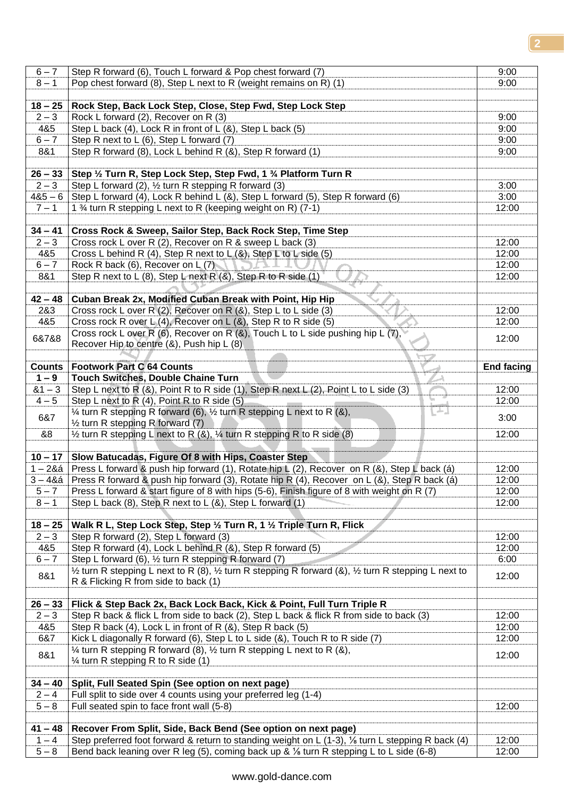| $6 - 7$            | Step R forward (6), Touch L forward & Pop chest forward (7)                                                                                                                                                | 9:00              |
|--------------------|------------------------------------------------------------------------------------------------------------------------------------------------------------------------------------------------------------|-------------------|
| $8 - 1$            | Pop chest forward (8), Step L next to R (weight remains on R) (1)                                                                                                                                          | 9:00              |
|                    |                                                                                                                                                                                                            |                   |
|                    |                                                                                                                                                                                                            |                   |
| $18 - 25$          | Rock Step, Back Lock Step, Close, Step Fwd, Step Lock Step                                                                                                                                                 |                   |
| $2 - 3$            | Rock L forward (2), Recover on R (3)                                                                                                                                                                       | 9:00              |
| 4&5                | Step L back (4), Lock R in front of L (&), Step L back (5)                                                                                                                                                 | 9:00              |
| $6 - 7$            | Step R next to L (6), Step L forward (7)                                                                                                                                                                   | 9:00              |
| 8&1                | Step R forward (8), Lock L behind R (&), Step R forward (1)                                                                                                                                                | 9:00              |
|                    |                                                                                                                                                                                                            |                   |
|                    |                                                                                                                                                                                                            |                   |
| $26 - 33$          | Step 1/2 Turn R, Step Lock Step, Step Fwd, 1 3/4 Platform Turn R                                                                                                                                           |                   |
| $2 - 3$            | Step L forward (2), 1/2 turn R stepping R forward (3)                                                                                                                                                      | 3:00              |
| $485 - 6$          | Step L forward (4), Lock R behind L (&), Step L forward (5), Step R forward (6)                                                                                                                            | 3:00              |
| $7 - 1$            | 1 % turn R stepping L next to R (keeping weight on R) (7-1)                                                                                                                                                | 12:00             |
|                    |                                                                                                                                                                                                            |                   |
| $34 - 41$          | Cross Rock & Sweep, Sailor Step, Back Rock Step, Time Step                                                                                                                                                 |                   |
|                    |                                                                                                                                                                                                            | 12:00             |
| $2 - 3$            | Cross rock L over R (2), Recover on R & sweep L back (3)                                                                                                                                                   |                   |
| 4&5                | Cross L behind R (4), Step R next to $L(8)$ , Step L to L side (5)                                                                                                                                         | 12:00             |
| $6 - 7$            | Rock R back (6), Recover on L (7)                                                                                                                                                                          | 12:00             |
| 8&1                | Step R next to L (8), Step L next R $(8)$ , Step R to R side (1)                                                                                                                                           | 12:00             |
|                    |                                                                                                                                                                                                            |                   |
| $42 - 48$          | Cuban Break 2x, Modified Cuban Break with Point, Hip Hip                                                                                                                                                   |                   |
| 2&3                | Cross rock L over R (2), Recover on R (&), Step L to L side (3)                                                                                                                                            | 12:00             |
| 4&5                | Cross rock R over L $(4)$ , Recover on L $(8)$ , Step R to R side (5)                                                                                                                                      |                   |
|                    |                                                                                                                                                                                                            | 12:00             |
| 6&7&8              | Cross rock L over R (6), Recover on R (&), Touch L to L side pushing hip L (7),                                                                                                                            | 12:00             |
|                    | Recover Hip to centre (&), Push hip L (8)                                                                                                                                                                  |                   |
|                    |                                                                                                                                                                                                            |                   |
| <b>Counts</b>      | <b>Footwork Part C 64 Counts</b>                                                                                                                                                                           | <b>End facing</b> |
| $1 - 9$            | <b>Touch Switches, Double Chaine Turn</b>                                                                                                                                                                  |                   |
| $81 - 3$           | Step L next to R (&), Point R to R side (1), Step R next L (2), Point L to L side (3)                                                                                                                      | 12:00             |
| $4 - 5$            | Step L next to R (4), Point R to R side (5)                                                                                                                                                                | 12:00             |
|                    | ъ.                                                                                                                                                                                                         |                   |
| 6&7                | $\frac{1}{4}$ turn R stepping R forward (6), $\frac{1}{2}$ turn R stepping L next to R (&),                                                                                                                | 3:00              |
|                    | 1/2 turn R stepping R forward (7)                                                                                                                                                                          |                   |
| &8                 | $\frac{1}{2}$ turn R stepping L next to R (&), $\frac{1}{4}$ turn R stepping R to R side (8)                                                                                                               | 12:00             |
|                    |                                                                                                                                                                                                            |                   |
| $10 - 17$          | Slow Batucadas, Figure Of 8 with Hips, Coaster Step                                                                                                                                                        |                   |
| 1 – 2&á            | Press L forward & push hip forward (1), Rotate hip L (2), Recover on R (&), Step L back (a)                                                                                                                | 12:00             |
| $3 - 48a$          | Press R forward & push hip forward (3), Rotate hip R (4), Recover on L (&), Step R back (á)                                                                                                                | 12:00             |
|                    |                                                                                                                                                                                                            |                   |
| $5 - 7$            | Press L forward & start figure of 8 with hips (5-6), Finish figure of 8 with weight on R (7)                                                                                                               | 12:00             |
| $8 - 1$            | Step L back $(8)$ , Step R next to L $(8)$ , Step L forward $(1)$                                                                                                                                          | 12:00             |
|                    |                                                                                                                                                                                                            |                   |
| $18 - 25$          | Walk R L, Step Lock Step, Step 1/2 Turn R, 1 1/2 Triple Turn R, Flick                                                                                                                                      |                   |
| $2 - 3$            | Step R forward (2), Step L forward (3)                                                                                                                                                                     | 12:00             |
| 4&5                | Step R forward (4), Lock L behind R (&), Step R forward (5)                                                                                                                                                | 12:00             |
| $6 - 7$            | Step L forward (6), 1/2 turn R stepping R forward (7)                                                                                                                                                      | 6:00              |
|                    |                                                                                                                                                                                                            |                   |
| 8&1                |                                                                                                                                                                                                            |                   |
|                    | $\frac{1}{2}$ turn R stepping L next to R (8), $\frac{1}{2}$ turn R stepping R forward (&), $\frac{1}{2}$ turn R stepping L next to                                                                        | 12:00             |
|                    | R & Flicking R from side to back (1)                                                                                                                                                                       |                   |
|                    |                                                                                                                                                                                                            |                   |
| $26 - 33$          | Flick & Step Back 2x, Back Lock Back, Kick & Point, Full Turn Triple R                                                                                                                                     |                   |
| $2 - 3$            | Step R back & flick L from side to back (2), Step L back & flick R from side to back (3)                                                                                                                   | 12:00             |
| 4&5                | Step R back (4), Lock L in front of R (&), Step R back (5)                                                                                                                                                 | 12:00             |
|                    |                                                                                                                                                                                                            |                   |
| 6&7                | Kick L diagonally R forward (6), Step L to L side (&), Touch R to R side (7)                                                                                                                               | 12:00             |
| 8&1                | $\frac{1}{4}$ turn R stepping R forward (8), $\frac{1}{2}$ turn R stepping L next to R (&),                                                                                                                | 12:00             |
|                    | $\frac{1}{4}$ turn R stepping R to R side (1)                                                                                                                                                              |                   |
|                    |                                                                                                                                                                                                            |                   |
| $34 - 40$          | Split, Full Seated Spin (See option on next page)                                                                                                                                                          |                   |
| $2 - 4$            | Full split to side over 4 counts using your preferred leg (1-4)                                                                                                                                            |                   |
| $5 - 8$            | Full seated spin to face front wall (5-8)                                                                                                                                                                  | 12:00             |
|                    |                                                                                                                                                                                                            |                   |
|                    |                                                                                                                                                                                                            |                   |
| $41 - 48$          | Recover From Split, Side, Back Bend (See option on next page)                                                                                                                                              |                   |
| $1 - 4$<br>$5 - 8$ | Step preferred foot forward & return to standing weight on $L$ (1-3), $\frac{1}{2}$ turn L stepping R back (4)<br>Bend back leaning over R leg (5), coming back up & 1/8 turn R stepping L to L side (6-8) | 12:00<br>12:00    |